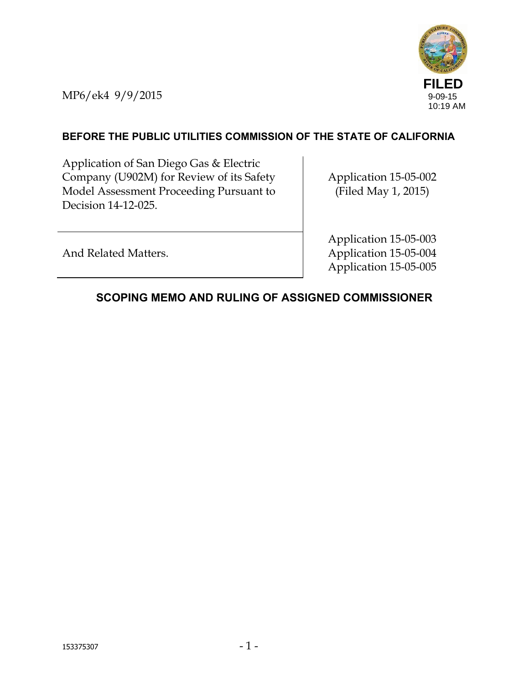

MP6/ek4 9/9/2015

### **BEFORE THE PUBLIC UTILITIES COMMISSION OF THE STATE OF CALIFORNIA**

Application of San Diego Gas & Electric Company (U902M) for Review of its Safety Model Assessment Proceeding Pursuant to Decision 14-12-025.

Application 15-05-002 (Filed May 1, 2015)

And Related Matters.

Application 15-05-003 Application 15-05-004 Application 15-05-005

# **SCOPING MEMO AND RULING OF ASSIGNED COMMISSIONER**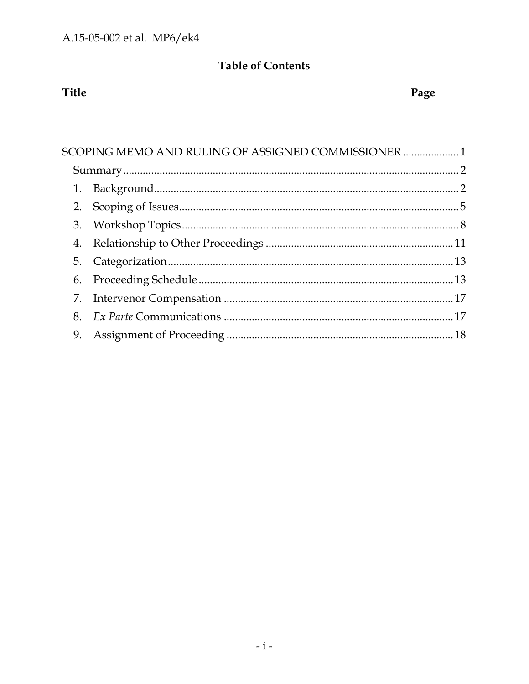# **Table of Contents**

# Title

# Page

|    | SCOPING MEMO AND RULING OF ASSIGNED COMMISSIONER  1 |  |  |
|----|-----------------------------------------------------|--|--|
|    |                                                     |  |  |
|    |                                                     |  |  |
|    |                                                     |  |  |
|    |                                                     |  |  |
| 4. |                                                     |  |  |
|    |                                                     |  |  |
| 6. |                                                     |  |  |
|    |                                                     |  |  |
|    |                                                     |  |  |
|    |                                                     |  |  |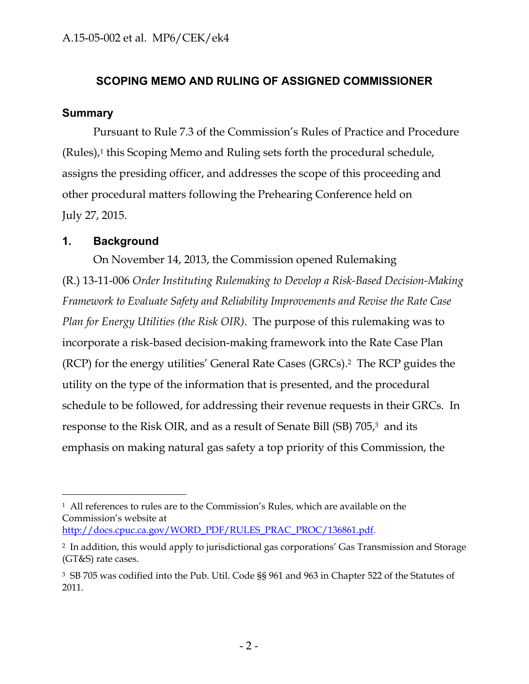#### **SCOPING MEMO AND RULING OF ASSIGNED COMMISSIONER**

#### **Summary**

Pursuant to Rule 7.3 of the Commission's Rules of Practice and Procedure (Rules),1 this Scoping Memo and Ruling sets forth the procedural schedule, assigns the presiding officer, and addresses the scope of this proceeding and other procedural matters following the Prehearing Conference held on July 27, 2015.

#### **1. Background**

 $\overline{a}$ 

On November 14, 2013, the Commission opened Rulemaking (R.) 13-11-006 *Order Instituting Rulemaking to Develop a Risk-Based Decision-Making Framework to Evaluate Safety and Reliability Improvements and Revise the Rate Case Plan for Energy Utilities (the Risk OIR)*. The purpose of this rulemaking was to incorporate a risk-based decision-making framework into the Rate Case Plan (RCP) for the energy utilities' General Rate Cases (GRCs).2 The RCP guides the utility on the type of the information that is presented, and the procedural schedule to be followed, for addressing their revenue requests in their GRCs. In response to the Risk OIR, and as a result of Senate Bill (SB) 705,<sup>3</sup> and its emphasis on making natural gas safety a top priority of this Commission, the

<sup>1</sup> All references to rules are to the Commission's Rules, which are available on the Commission's website at http://docs.cpuc.ca.gov/WORD\_PDF/RULES\_PRAC\_PROC/136861.pdf.

<sup>2</sup> In addition, this would apply to jurisdictional gas corporations' Gas Transmission and Storage (GT&S) rate cases.

<sup>3</sup> SB 705 was codified into the Pub. Util. Code §§ 961 and 963 in Chapter 522 of the Statutes of 2011.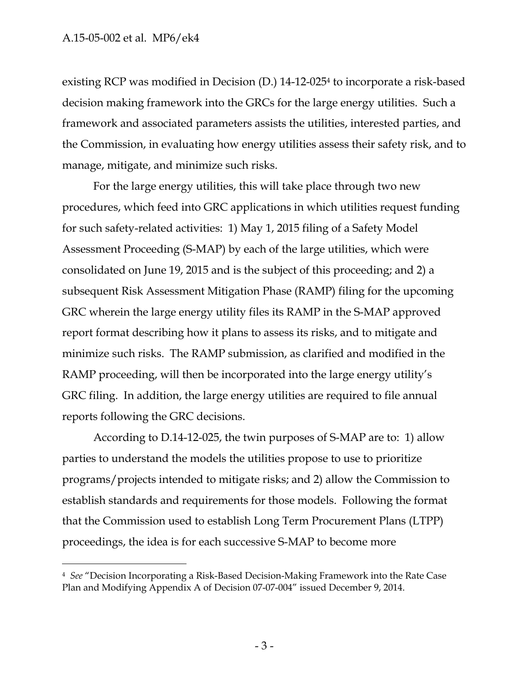$\overline{a}$ 

existing RCP was modified in Decision (D.) 14-12-0254 to incorporate a risk-based decision making framework into the GRCs for the large energy utilities. Such a framework and associated parameters assists the utilities, interested parties, and the Commission, in evaluating how energy utilities assess their safety risk, and to manage, mitigate, and minimize such risks.

For the large energy utilities, this will take place through two new procedures, which feed into GRC applications in which utilities request funding for such safety-related activities: 1) May 1, 2015 filing of a Safety Model Assessment Proceeding (S-MAP) by each of the large utilities, which were consolidated on June 19, 2015 and is the subject of this proceeding; and 2) a subsequent Risk Assessment Mitigation Phase (RAMP) filing for the upcoming GRC wherein the large energy utility files its RAMP in the S-MAP approved report format describing how it plans to assess its risks, and to mitigate and minimize such risks. The RAMP submission, as clarified and modified in the RAMP proceeding, will then be incorporated into the large energy utility's GRC filing. In addition, the large energy utilities are required to file annual reports following the GRC decisions.

According to D.14-12-025, the twin purposes of S-MAP are to: 1) allow parties to understand the models the utilities propose to use to prioritize programs/projects intended to mitigate risks; and 2) allow the Commission to establish standards and requirements for those models. Following the format that the Commission used to establish Long Term Procurement Plans (LTPP) proceedings, the idea is for each successive S-MAP to become more

<sup>4</sup> *See* "Decision Incorporating a Risk-Based Decision-Making Framework into the Rate Case Plan and Modifying Appendix A of Decision 07-07-004" issued December 9, 2014.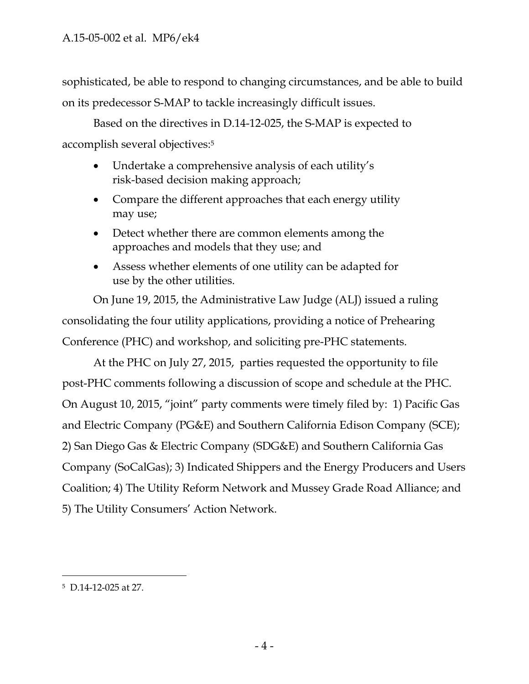sophisticated, be able to respond to changing circumstances, and be able to build on its predecessor S-MAP to tackle increasingly difficult issues.

Based on the directives in D.14-12-025, the S-MAP is expected to accomplish several objectives:5

- Undertake a comprehensive analysis of each utility's risk-based decision making approach;
- Compare the different approaches that each energy utility may use;
- Detect whether there are common elements among the approaches and models that they use; and
- Assess whether elements of one utility can be adapted for use by the other utilities.

On June 19, 2015, the Administrative Law Judge (ALJ) issued a ruling consolidating the four utility applications, providing a notice of Prehearing Conference (PHC) and workshop, and soliciting pre-PHC statements.

At the PHC on July 27, 2015, parties requested the opportunity to file post-PHC comments following a discussion of scope and schedule at the PHC. On August 10, 2015, "joint" party comments were timely filed by: 1) Pacific Gas and Electric Company (PG&E) and Southern California Edison Company (SCE); 2) San Diego Gas & Electric Company (SDG&E) and Southern California Gas Company (SoCalGas); 3) Indicated Shippers and the Energy Producers and Users Coalition; 4) The Utility Reform Network and Mussey Grade Road Alliance; and 5) The Utility Consumers' Action Network.

<sup>5</sup> D.14-12-025 at 27.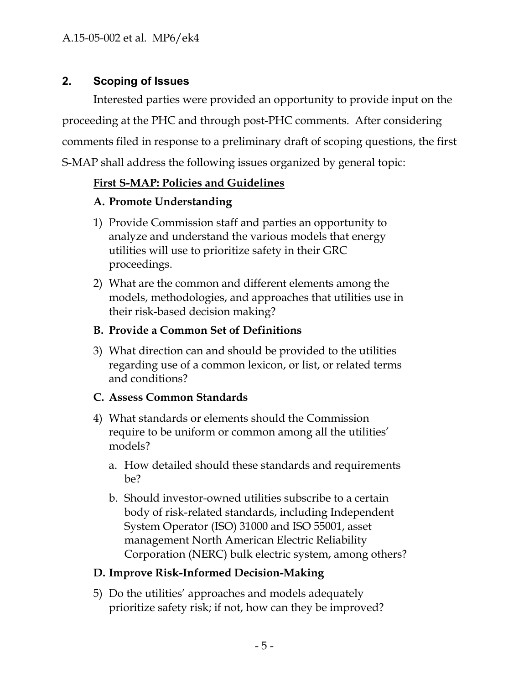## **2. Scoping of Issues**

Interested parties were provided an opportunity to provide input on the proceeding at the PHC and through post-PHC comments. After considering comments filed in response to a preliminary draft of scoping questions, the first S-MAP shall address the following issues organized by general topic:

## **First S-MAP: Policies and Guidelines**

### **A. Promote Understanding**

- 1) Provide Commission staff and parties an opportunity to analyze and understand the various models that energy utilities will use to prioritize safety in their GRC proceedings.
- 2) What are the common and different elements among the models, methodologies, and approaches that utilities use in their risk-based decision making?

## **B. Provide a Common Set of Definitions**

3) What direction can and should be provided to the utilities regarding use of a common lexicon, or list, or related terms and conditions?

### **C. Assess Common Standards**

- 4) What standards or elements should the Commission require to be uniform or common among all the utilities' models?
	- a. How detailed should these standards and requirements be?
	- b. Should investor-owned utilities subscribe to a certain body of risk-related standards, including Independent System Operator (ISO) 31000 and ISO 55001, asset management North American Electric Reliability Corporation (NERC) bulk electric system, among others?

### **D. Improve Risk-Informed Decision-Making**

5) Do the utilities' approaches and models adequately prioritize safety risk; if not, how can they be improved?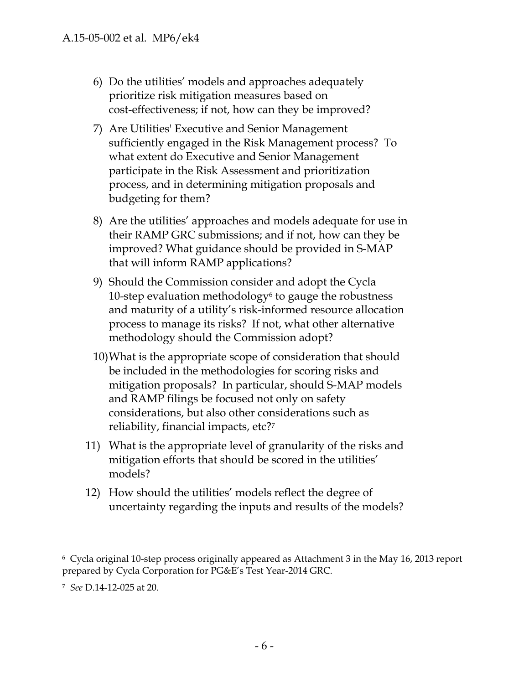- 6) Do the utilities' models and approaches adequately prioritize risk mitigation measures based on cost-effectiveness; if not, how can they be improved?
- 7) Are Utilities' Executive and Senior Management sufficiently engaged in the Risk Management process? To what extent do Executive and Senior Management participate in the Risk Assessment and prioritization process, and in determining mitigation proposals and budgeting for them?
- 8) Are the utilities' approaches and models adequate for use in their RAMP GRC submissions; and if not, how can they be improved? What guidance should be provided in S-MAP that will inform RAMP applications?
- 9) Should the Commission consider and adopt the Cycla 10-step evaluation methodology $\epsilon$  to gauge the robustness and maturity of a utility's risk-informed resource allocation process to manage its risks? If not, what other alternative methodology should the Commission adopt?
- 10)What is the appropriate scope of consideration that should be included in the methodologies for scoring risks and mitigation proposals? In particular, should S-MAP models and RAMP filings be focused not only on safety considerations, but also other considerations such as reliability, financial impacts, etc?7
- 11) What is the appropriate level of granularity of the risks and mitigation efforts that should be scored in the utilities' models?
- 12) How should the utilities' models reflect the degree of uncertainty regarding the inputs and results of the models?

<sup>6</sup> Cycla original 10-step process originally appeared as Attachment 3 in the May 16, 2013 report prepared by Cycla Corporation for PG&E's Test Year-2014 GRC.

<sup>7</sup> *See* D.14-12-025 at 20.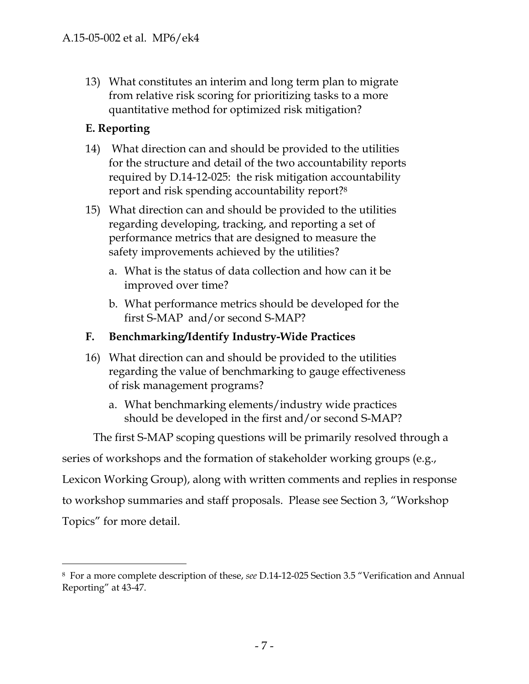13) What constitutes an interim and long term plan to migrate from relative risk scoring for prioritizing tasks to a more quantitative method for optimized risk mitigation?

# **E. Reporting**

-

- 14) What direction can and should be provided to the utilities for the structure and detail of the two accountability reports required by D.14-12-025: the risk mitigation accountability report and risk spending accountability report?8
- 15) What direction can and should be provided to the utilities regarding developing, tracking, and reporting a set of performance metrics that are designed to measure the safety improvements achieved by the utilities?
	- a. What is the status of data collection and how can it be improved over time?
	- b. What performance metrics should be developed for the first S-MAP and/or second S-MAP?

# **F. Benchmarking/Identify Industry-Wide Practices**

- 16) What direction can and should be provided to the utilities regarding the value of benchmarking to gauge effectiveness of risk management programs?
	- a. What benchmarking elements/industry wide practices should be developed in the first and/or second S-MAP?

The first S-MAP scoping questions will be primarily resolved through a

series of workshops and the formation of stakeholder working groups (e.g.,

Lexicon Working Group), along with written comments and replies in response

to workshop summaries and staff proposals. Please see Section 3, "Workshop Topics" for more detail.

<sup>8</sup> For a more complete description of these, *see* D.14-12-025 Section 3.5 "Verification and Annual Reporting" at 43-47.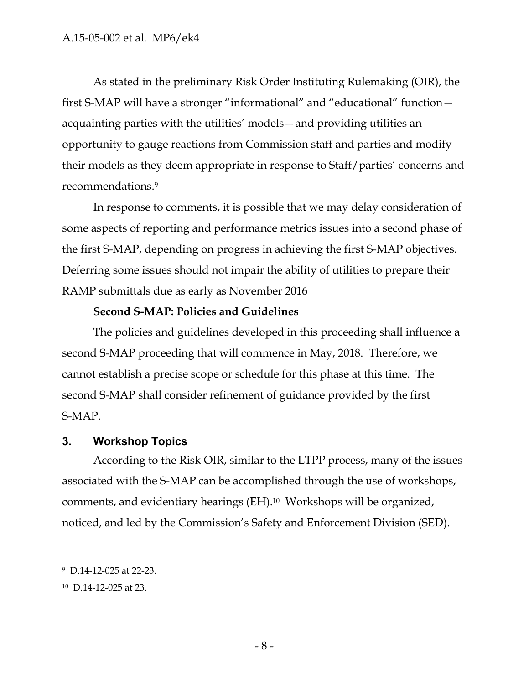As stated in the preliminary Risk Order Instituting Rulemaking (OIR), the first S-MAP will have a stronger "informational" and "educational" function acquainting parties with the utilities' models—and providing utilities an opportunity to gauge reactions from Commission staff and parties and modify their models as they deem appropriate in response to Staff/parties' concerns and recommendations.9

In response to comments, it is possible that we may delay consideration of some aspects of reporting and performance metrics issues into a second phase of the first S-MAP, depending on progress in achieving the first S-MAP objectives. Deferring some issues should not impair the ability of utilities to prepare their RAMP submittals due as early as November 2016

### **Second S-MAP: Policies and Guidelines**

The policies and guidelines developed in this proceeding shall influence a second S-MAP proceeding that will commence in May, 2018. Therefore, we cannot establish a precise scope or schedule for this phase at this time. The second S-MAP shall consider refinement of guidance provided by the first S-MAP.

### **3. Workshop Topics**

According to the Risk OIR, similar to the LTPP process, many of the issues associated with the S-MAP can be accomplished through the use of workshops, comments, and evidentiary hearings (EH).10 Workshops will be organized, noticed, and led by the Commission's Safety and Enforcement Division (SED).

<sup>9</sup> D.14-12-025 at 22-23.

<sup>10</sup> D.14-12-025 at 23.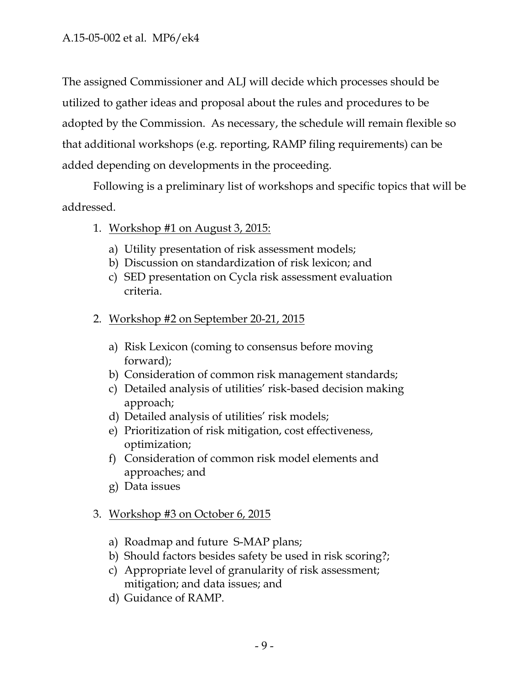The assigned Commissioner and ALJ will decide which processes should be utilized to gather ideas and proposal about the rules and procedures to be adopted by the Commission. As necessary, the schedule will remain flexible so that additional workshops (e.g. reporting, RAMP filing requirements) can be added depending on developments in the proceeding.

Following is a preliminary list of workshops and specific topics that will be addressed.

- 1. Workshop #1 on August 3, 2015:
	- a) Utility presentation of risk assessment models;
	- b) Discussion on standardization of risk lexicon; and
	- c) SED presentation on Cycla risk assessment evaluation criteria.
- 2. Workshop #2 on September 20-21, 2015
	- a) Risk Lexicon (coming to consensus before moving forward);
	- b) Consideration of common risk management standards;
	- c) Detailed analysis of utilities' risk-based decision making approach;
	- d) Detailed analysis of utilities' risk models;
	- e) Prioritization of risk mitigation, cost effectiveness, optimization;
	- f) Consideration of common risk model elements and approaches; and
	- g) Data issues

# 3. Workshop #3 on October 6, 2015

- a) Roadmap and future S-MAP plans;
- b) Should factors besides safety be used in risk scoring?;
- c) Appropriate level of granularity of risk assessment; mitigation; and data issues; and
- d) Guidance of RAMP.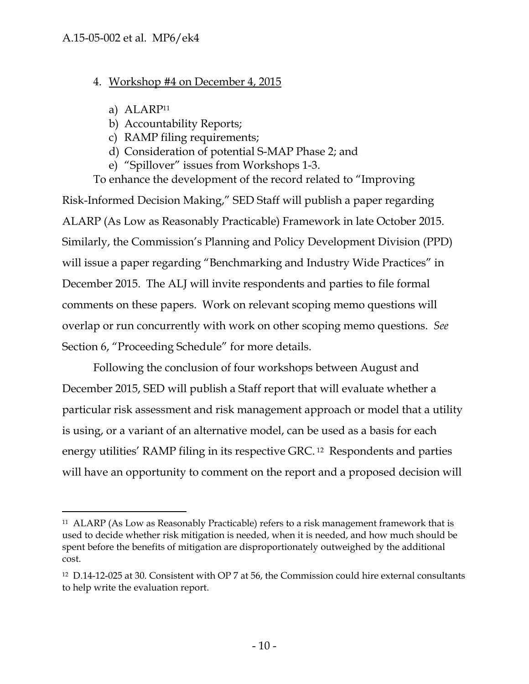## 4. Workshop #4 on December 4, 2015

a) ALARP11

-

- b) Accountability Reports;
- c) RAMP filing requirements;
- d) Consideration of potential S-MAP Phase 2; and
- e) "Spillover" issues from Workshops 1-3.

To enhance the development of the record related to "Improving Risk-Informed Decision Making," SED Staff will publish a paper regarding ALARP (As Low as Reasonably Practicable) Framework in late October 2015. Similarly, the Commission's Planning and Policy Development Division (PPD) will issue a paper regarding "Benchmarking and Industry Wide Practices" in December 2015. The ALJ will invite respondents and parties to file formal comments on these papers. Work on relevant scoping memo questions will overlap or run concurrently with work on other scoping memo questions. *See*  Section 6, "Proceeding Schedule" for more details.

Following the conclusion of four workshops between August and December 2015, SED will publish a Staff report that will evaluate whether a particular risk assessment and risk management approach or model that a utility is using, or a variant of an alternative model, can be used as a basis for each energy utilities' RAMP filing in its respective GRC. 12 Respondents and parties will have an opportunity to comment on the report and a proposed decision will

<sup>11</sup> ALARP (As Low as Reasonably Practicable) refers to a risk management framework that is used to decide whether risk mitigation is needed, when it is needed, and how much should be spent before the benefits of mitigation are disproportionately outweighed by the additional cost.

<sup>12</sup> D.14-12-025 at 30. Consistent with OP 7 at 56, the Commission could hire external consultants to help write the evaluation report.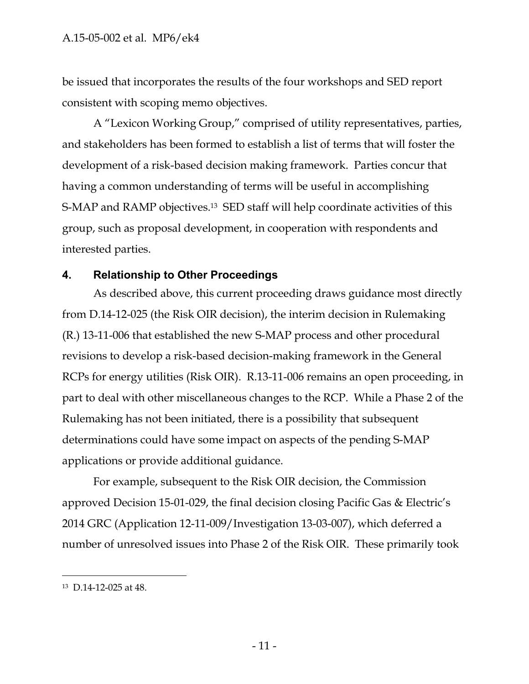be issued that incorporates the results of the four workshops and SED report consistent with scoping memo objectives.

A "Lexicon Working Group," comprised of utility representatives, parties, and stakeholders has been formed to establish a list of terms that will foster the development of a risk-based decision making framework. Parties concur that having a common understanding of terms will be useful in accomplishing S-MAP and RAMP objectives.13 SED staff will help coordinate activities of this group, such as proposal development, in cooperation with respondents and interested parties.

#### **4. Relationship to Other Proceedings**

As described above, this current proceeding draws guidance most directly from D.14-12-025 (the Risk OIR decision), the interim decision in Rulemaking (R.) 13-11-006 that established the new S-MAP process and other procedural revisions to develop a risk-based decision-making framework in the General RCPs for energy utilities (Risk OIR). R.13-11-006 remains an open proceeding, in part to deal with other miscellaneous changes to the RCP. While a Phase 2 of the Rulemaking has not been initiated, there is a possibility that subsequent determinations could have some impact on aspects of the pending S-MAP applications or provide additional guidance.

For example, subsequent to the Risk OIR decision, the Commission approved Decision 15-01-029, the final decision closing Pacific Gas & Electric's 2014 GRC (Application 12-11-009/Investigation 13-03-007), which deferred a number of unresolved issues into Phase 2 of the Risk OIR. These primarily took

 $\overline{a}$ 

<sup>13</sup> D.14-12-025 at 48.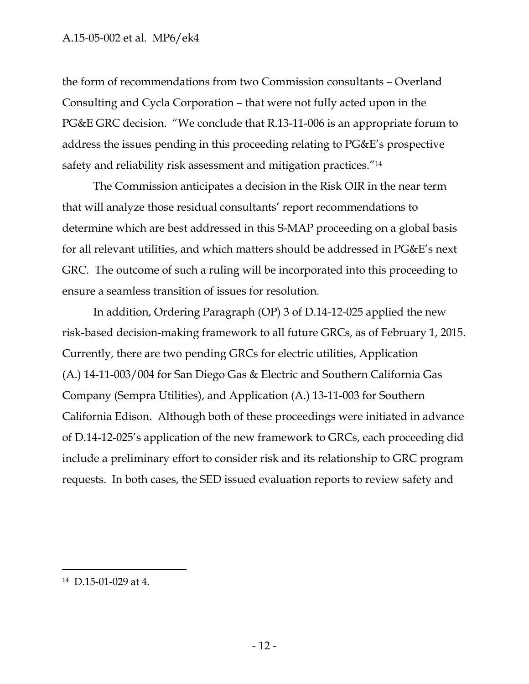the form of recommendations from two Commission consultants – Overland Consulting and Cycla Corporation – that were not fully acted upon in the PG&E GRC decision. "We conclude that R.13-11-006 is an appropriate forum to address the issues pending in this proceeding relating to PG&E's prospective safety and reliability risk assessment and mitigation practices.<sup>"14</sup>

The Commission anticipates a decision in the Risk OIR in the near term that will analyze those residual consultants' report recommendations to determine which are best addressed in this S-MAP proceeding on a global basis for all relevant utilities, and which matters should be addressed in PG&E's next GRC. The outcome of such a ruling will be incorporated into this proceeding to ensure a seamless transition of issues for resolution.

In addition, Ordering Paragraph (OP) 3 of D.14-12-025 applied the new risk-based decision-making framework to all future GRCs, as of February 1, 2015. Currently, there are two pending GRCs for electric utilities, Application (A.) 14-11-003/004 for San Diego Gas & Electric and Southern California Gas Company (Sempra Utilities), and Application (A.) 13-11-003 for Southern California Edison. Although both of these proceedings were initiated in advance of D.14-12-025's application of the new framework to GRCs, each proceeding did include a preliminary effort to consider risk and its relationship to GRC program requests. In both cases, the SED issued evaluation reports to review safety and

<sup>14</sup> D.15-01-029 at 4.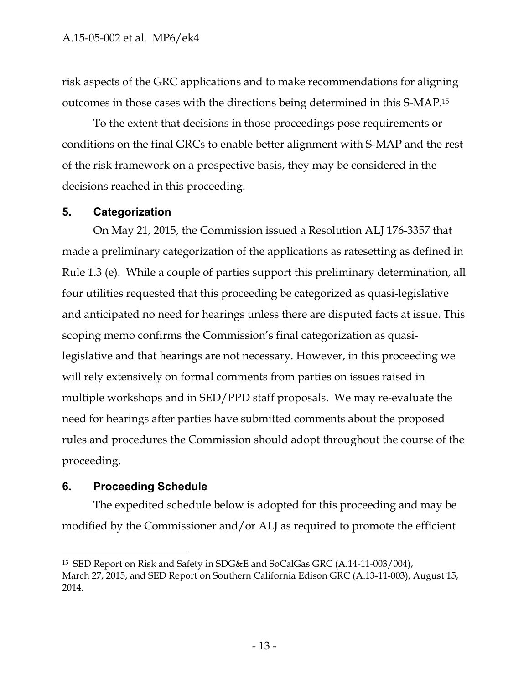risk aspects of the GRC applications and to make recommendations for aligning outcomes in those cases with the directions being determined in this S-MAP.15

To the extent that decisions in those proceedings pose requirements or conditions on the final GRCs to enable better alignment with S-MAP and the rest of the risk framework on a prospective basis, they may be considered in the decisions reached in this proceeding.

#### **5. Categorization**

On May 21, 2015, the Commission issued a Resolution ALJ 176-3357 that made a preliminary categorization of the applications as ratesetting as defined in Rule 1.3 (e). While a couple of parties support this preliminary determination, all four utilities requested that this proceeding be categorized as quasi-legislative and anticipated no need for hearings unless there are disputed facts at issue. This scoping memo confirms the Commission's final categorization as quasilegislative and that hearings are not necessary. However, in this proceeding we will rely extensively on formal comments from parties on issues raised in multiple workshops and in SED/PPD staff proposals. We may re-evaluate the need for hearings after parties have submitted comments about the proposed rules and procedures the Commission should adopt throughout the course of the proceeding.

#### **6. Proceeding Schedule**

-

The expedited schedule below is adopted for this proceeding and may be modified by the Commissioner and/or ALJ as required to promote the efficient

<sup>15</sup> SED Report on Risk and Safety in SDG&E and SoCalGas GRC (A.14-11-003/004), March 27, 2015, and SED Report on Southern California Edison GRC (A.13-11-003), August 15, 2014.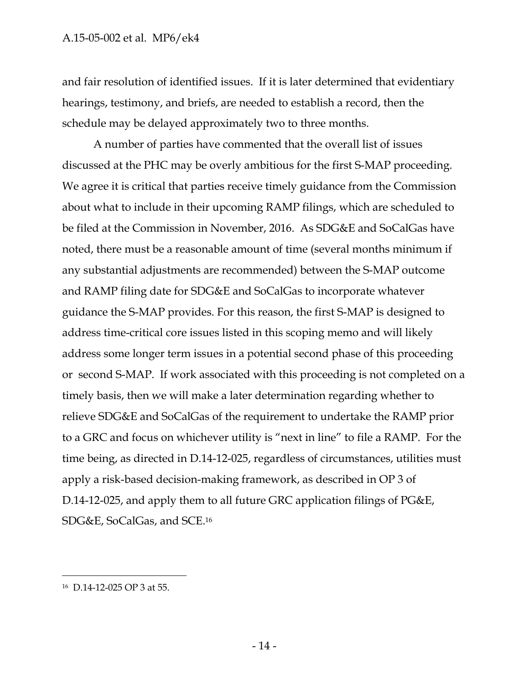and fair resolution of identified issues. If it is later determined that evidentiary hearings, testimony, and briefs, are needed to establish a record, then the schedule may be delayed approximately two to three months.

A number of parties have commented that the overall list of issues discussed at the PHC may be overly ambitious for the first S-MAP proceeding. We agree it is critical that parties receive timely guidance from the Commission about what to include in their upcoming RAMP filings, which are scheduled to be filed at the Commission in November, 2016. As SDG&E and SoCalGas have noted, there must be a reasonable amount of time (several months minimum if any substantial adjustments are recommended) between the S-MAP outcome and RAMP filing date for SDG&E and SoCalGas to incorporate whatever guidance the S-MAP provides. For this reason, the first S-MAP is designed to address time-critical core issues listed in this scoping memo and will likely address some longer term issues in a potential second phase of this proceeding or second S-MAP. If work associated with this proceeding is not completed on a timely basis, then we will make a later determination regarding whether to relieve SDG&E and SoCalGas of the requirement to undertake the RAMP prior to a GRC and focus on whichever utility is "next in line" to file a RAMP. For the time being, as directed in D.14-12-025, regardless of circumstances, utilities must apply a risk-based decision-making framework, as described in OP 3 of D.14-12-025, and apply them to all future GRC application filings of PG&E, SDG&E, SoCalGas, and SCE.16

 $\overline{a}$ 

<sup>16</sup> D.14-12-025 OP 3 at 55.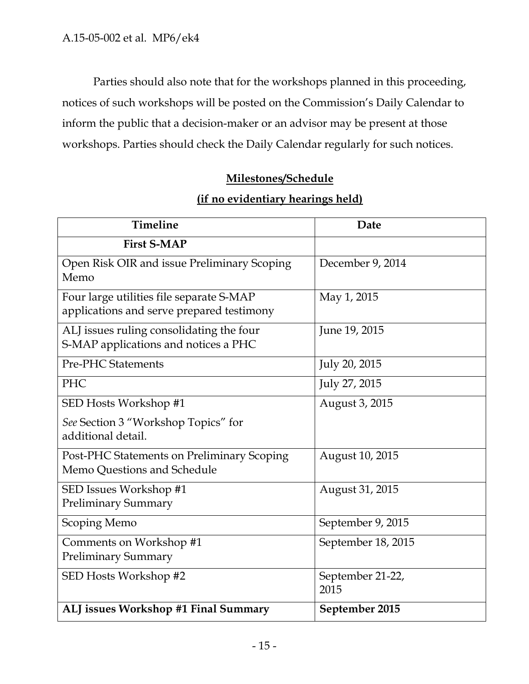Parties should also note that for the workshops planned in this proceeding, notices of such workshops will be posted on the Commission's Daily Calendar to inform the public that a decision-maker or an advisor may be present at those workshops. Parties should check the Daily Calendar regularly for such notices.

## **Milestones/Schedule**

#### **(if no evidentiary hearings held)**

| <b>Timeline</b>                                                                       | Date                     |
|---------------------------------------------------------------------------------------|--------------------------|
| <b>First S-MAP</b>                                                                    |                          |
| Open Risk OIR and issue Preliminary Scoping<br>Memo                                   | December 9, 2014         |
| Four large utilities file separate S-MAP<br>applications and serve prepared testimony | May 1, 2015              |
| ALJ issues ruling consolidating the four<br>S-MAP applications and notices a PHC      | June 19, 2015            |
| <b>Pre-PHC Statements</b>                                                             | July 20, 2015            |
| PHC                                                                                   | July 27, 2015            |
| SED Hosts Workshop #1                                                                 | August 3, 2015           |
| See Section 3 "Workshop Topics" for<br>additional detail.                             |                          |
| Post-PHC Statements on Preliminary Scoping<br>Memo Questions and Schedule             | August 10, 2015          |
| SED Issues Workshop #1<br><b>Preliminary Summary</b>                                  | August 31, 2015          |
| <b>Scoping Memo</b>                                                                   | September 9, 2015        |
| Comments on Workshop #1<br><b>Preliminary Summary</b>                                 | September 18, 2015       |
| SED Hosts Workshop #2                                                                 | September 21-22,<br>2015 |
| ALJ issues Workshop #1 Final Summary                                                  | September 2015           |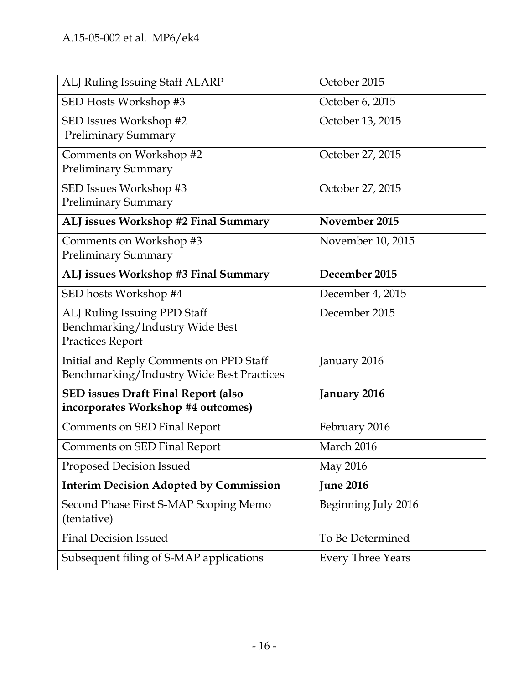| ALJ Ruling Issuing Staff ALARP                                                             | October 2015             |
|--------------------------------------------------------------------------------------------|--------------------------|
| SED Hosts Workshop #3                                                                      | October 6, 2015          |
| SED Issues Workshop #2<br><b>Preliminary Summary</b>                                       | October 13, 2015         |
| Comments on Workshop #2<br><b>Preliminary Summary</b>                                      | October 27, 2015         |
| SED Issues Workshop #3<br><b>Preliminary Summary</b>                                       | October 27, 2015         |
| ALJ issues Workshop #2 Final Summary                                                       | November 2015            |
| Comments on Workshop #3<br><b>Preliminary Summary</b>                                      | November 10, 2015        |
| ALJ issues Workshop #3 Final Summary                                                       | December 2015            |
| SED hosts Workshop #4                                                                      | December 4, 2015         |
| ALJ Ruling Issuing PPD Staff<br>Benchmarking/Industry Wide Best<br><b>Practices Report</b> | December 2015            |
| Initial and Reply Comments on PPD Staff<br>Benchmarking/Industry Wide Best Practices       | January 2016             |
| <b>SED issues Draft Final Report (also</b><br>incorporates Workshop #4 outcomes)           | January 2016             |
| <b>Comments on SED Final Report</b>                                                        | February 2016            |
| <b>Comments on SED Final Report</b>                                                        | March 2016               |
| Proposed Decision Issued                                                                   | May 2016                 |
| <b>Interim Decision Adopted by Commission</b>                                              | <b>June 2016</b>         |
| Second Phase First S-MAP Scoping Memo<br>(tentative)                                       | Beginning July 2016      |
| <b>Final Decision Issued</b>                                                               | To Be Determined         |
| Subsequent filing of S-MAP applications                                                    | <b>Every Three Years</b> |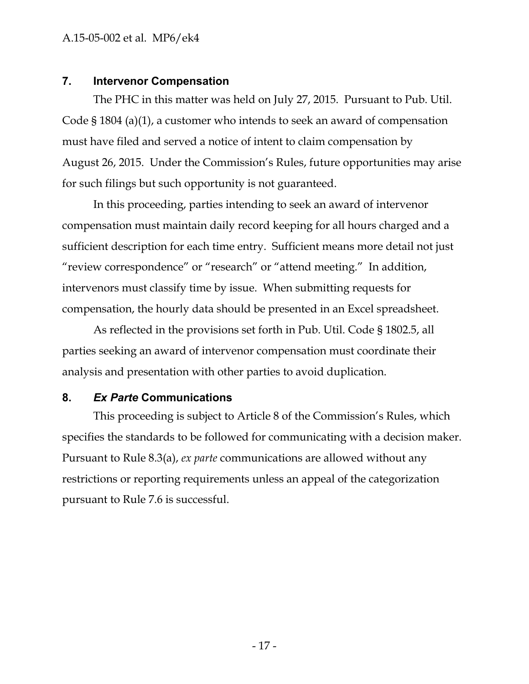#### A.15-05-002 et al. MP6/ek4

#### **7. Intervenor Compensation**

The PHC in this matter was held on July 27, 2015. Pursuant to Pub. Util. Code § 1804 (a)(1), a customer who intends to seek an award of compensation must have filed and served a notice of intent to claim compensation by August 26, 2015. Under the Commission's Rules, future opportunities may arise for such filings but such opportunity is not guaranteed.

In this proceeding, parties intending to seek an award of intervenor compensation must maintain daily record keeping for all hours charged and a sufficient description for each time entry. Sufficient means more detail not just "review correspondence" or "research" or "attend meeting." In addition, intervenors must classify time by issue. When submitting requests for compensation, the hourly data should be presented in an Excel spreadsheet.

As reflected in the provisions set forth in Pub. Util. Code § 1802.5, all parties seeking an award of intervenor compensation must coordinate their analysis and presentation with other parties to avoid duplication.

#### **8.** *Ex Parte* **Communications**

This proceeding is subject to Article 8 of the Commission's Rules, which specifies the standards to be followed for communicating with a decision maker. Pursuant to Rule 8.3(a), *ex parte* communications are allowed without any restrictions or reporting requirements unless an appeal of the categorization pursuant to Rule 7.6 is successful.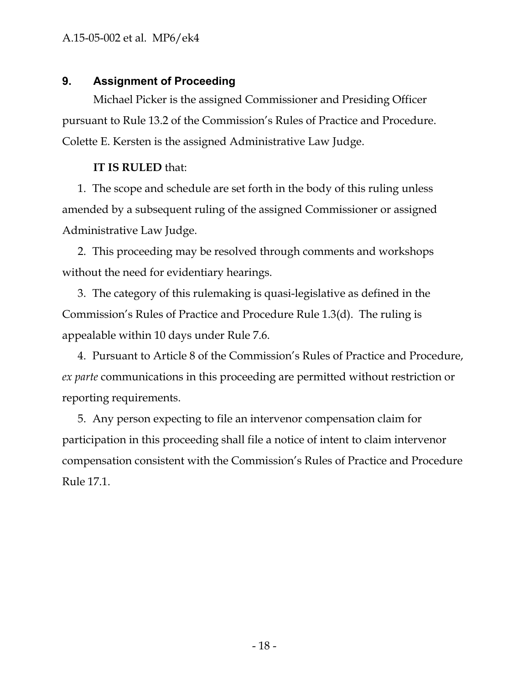#### **9. Assignment of Proceeding**

Michael Picker is the assigned Commissioner and Presiding Officer pursuant to Rule 13.2 of the Commission's Rules of Practice and Procedure. Colette E. Kersten is the assigned Administrative Law Judge.

#### **IT IS RULED** that:

1. The scope and schedule are set forth in the body of this ruling unless amended by a subsequent ruling of the assigned Commissioner or assigned Administrative Law Judge.

2. This proceeding may be resolved through comments and workshops without the need for evidentiary hearings.

3. The category of this rulemaking is quasi-legislative as defined in the Commission's Rules of Practice and Procedure Rule 1.3(d). The ruling is appealable within 10 days under Rule 7.6.

4. Pursuant to Article 8 of the Commission's Rules of Practice and Procedure, *ex parte* communications in this proceeding are permitted without restriction or reporting requirements.

5. Any person expecting to file an intervenor compensation claim for participation in this proceeding shall file a notice of intent to claim intervenor compensation consistent with the Commission's Rules of Practice and Procedure Rule 17.1.